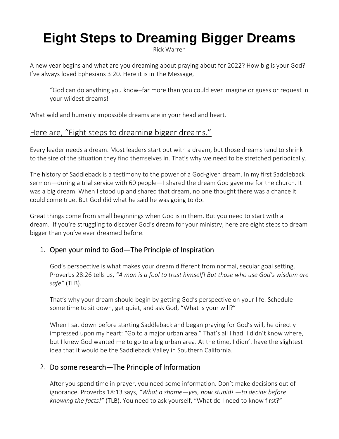# **Eight Steps to Dreaming Bigger Dreams**

[Rick Warren](https://davekraft.us3.list-manage.com/track/click?u=4d1c5138a28c4710d33abc112&id=ff8924224b&e=bd91b9de67)

A new year begins and what are you dreaming about praying about for 2022? How big is your God? I've always loved Ephesians 3:20. Here it is in The Message,

"God can do anything you know–far more than you could ever imagine or guess or request in your wildest dreams!

What wild and humanly impossible dreams are in your head and heart.

# Here are, "Eight steps to dreaming bigger dreams."

Every leader needs a dream. Most leaders start out with a dream, but those dreams tend to shrink to the size of the situation they find themselves in. That's why we need to be stretched periodically.

The history of Saddleback is a testimony to the power of a God-given dream. In my first Saddleback sermon—during a trial service with 60 people—I shared the dream God gave me for the church. It was a big dream. When I stood up and shared that dream, no one thought there was a chance it could come true. But God did what he said he was going to do.

Great things come from small beginnings when God is in them. But you need to start with a dream. If you're struggling to discover God's dream for your ministry, here are eight steps to dream bigger than you've ever dreamed before.

# 1. Open your mind to God—The Principle of Inspiration

God's perspective is what makes your dream different from normal, secular goal setting. Proverbs 28:26 tells us, *"A man is a fool to trust himself! But those who use God's wisdom are safe"* (TLB).

That's why your dream should begin by getting God's perspective on your life. Schedule some time to sit down, get quiet, and ask God, "What is your will?"

When I sat down before starting Saddleback and began praying for God's will, he directly impressed upon my heart: "Go to a major urban area." That's all I had. I didn't know where, but I knew God wanted me to go to a big urban area. At the time, I didn't have the slightest idea that it would be the Saddleback Valley in Southern California.

## 2. Do some research—The Principle of Information

After you spend time in prayer, you need some information. Don't make decisions out of ignorance. Proverbs 18:13 says, *"What a shame—yes, how stupid! —to decide before knowing the facts!"* (TLB). You need to ask yourself, "What do I need to know first?"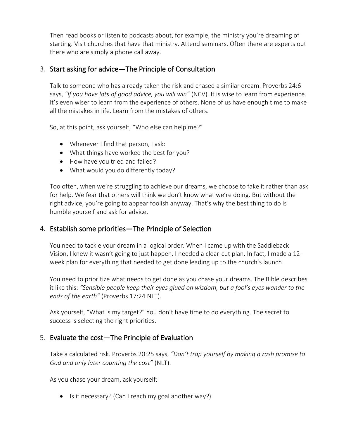Then read books or listen to podcasts about, for example, the ministry you're dreaming of starting. Visit churches that have that ministry. Attend seminars. Often there are experts out there who are simply a phone call away.

#### 3. Start asking for advice—The Principle of Consultation

Talk to someone who has already taken the risk and chased a similar dream. Proverbs 24:6 says, *"If you have lots of good advice, you will win"* (NCV). It is wise to learn from experience. It's even wiser to learn from the experience of others. None of us have enough time to make all the mistakes in life. Learn from the mistakes of others.

So, at this point, ask yourself, "Who else can help me?"

- Whenever I find that person, I ask:
- What things have worked the best for you?
- How have you tried and failed?
- What would you do differently today?

Too often, when we're struggling to achieve our dreams, we choose to fake it rather than ask for help. We fear that others will think we don't know what we're doing. But without the right advice, you're going to appear foolish anyway. That's why the best thing to do is humble yourself and ask for advice.

#### 4. Establish some priorities—The Principle of Selection

You need to tackle your dream in a logical order. When I came up with the Saddleback Vision, I knew it wasn't going to just happen. I needed a clear-cut plan. In fact, I made a 12 week plan for everything that needed to get done leading up to the church's launch.

You need to prioritize what needs to get done as you chase your dreams. The Bible describes it like this: *"Sensible people keep their eyes glued on wisdom, but a fool's eyes wander to the ends of the earth"* (Proverbs 17:24 NLT).

Ask yourself, "What is my target?" You don't have time to do everything. The secret to success is selecting the right priorities.

## 5. Evaluate the cost—The Principle of Evaluation

Take a calculated risk. Proverbs 20:25 says, *"Don't trap yourself by making a rash promise to God and only later counting the cost"* (NLT).

As you chase your dream, ask yourself:

• Is it necessary? (Can I reach my goal another way?)